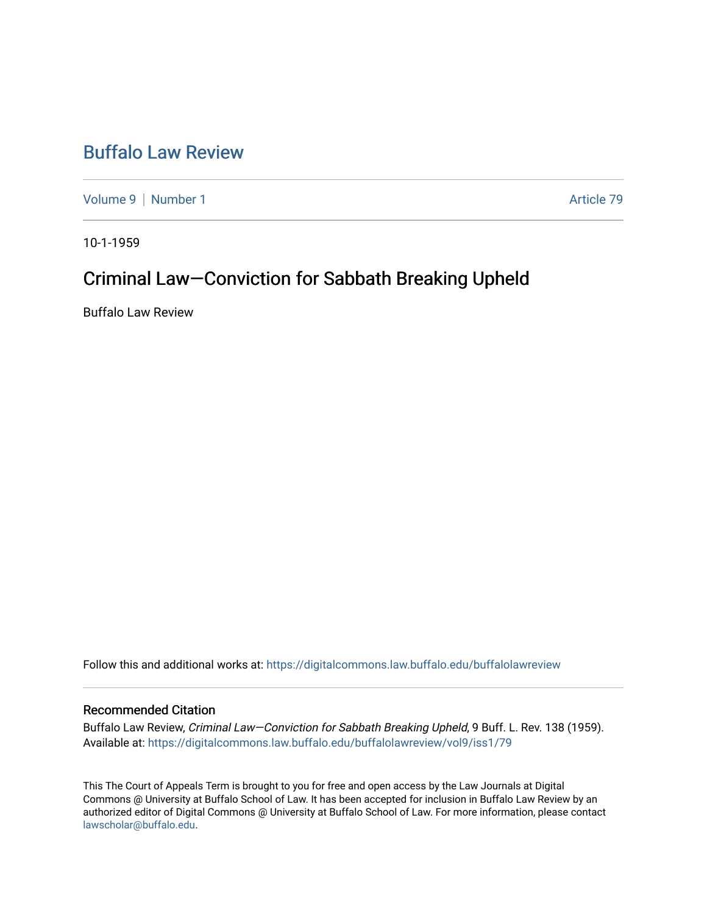## [Buffalo Law Review](https://digitalcommons.law.buffalo.edu/buffalolawreview)

[Volume 9](https://digitalcommons.law.buffalo.edu/buffalolawreview/vol9) | [Number 1](https://digitalcommons.law.buffalo.edu/buffalolawreview/vol9/iss1) Article 79

10-1-1959

## Criminal Law—Conviction for Sabbath Breaking Upheld

Buffalo Law Review

Follow this and additional works at: [https://digitalcommons.law.buffalo.edu/buffalolawreview](https://digitalcommons.law.buffalo.edu/buffalolawreview?utm_source=digitalcommons.law.buffalo.edu%2Fbuffalolawreview%2Fvol9%2Fiss1%2F79&utm_medium=PDF&utm_campaign=PDFCoverPages) 

## Recommended Citation

Buffalo Law Review, Criminal Law—Conviction for Sabbath Breaking Upheld, 9 Buff. L. Rev. 138 (1959). Available at: [https://digitalcommons.law.buffalo.edu/buffalolawreview/vol9/iss1/79](https://digitalcommons.law.buffalo.edu/buffalolawreview/vol9/iss1/79?utm_source=digitalcommons.law.buffalo.edu%2Fbuffalolawreview%2Fvol9%2Fiss1%2F79&utm_medium=PDF&utm_campaign=PDFCoverPages) 

This The Court of Appeals Term is brought to you for free and open access by the Law Journals at Digital Commons @ University at Buffalo School of Law. It has been accepted for inclusion in Buffalo Law Review by an authorized editor of Digital Commons @ University at Buffalo School of Law. For more information, please contact [lawscholar@buffalo.edu](mailto:lawscholar@buffalo.edu).